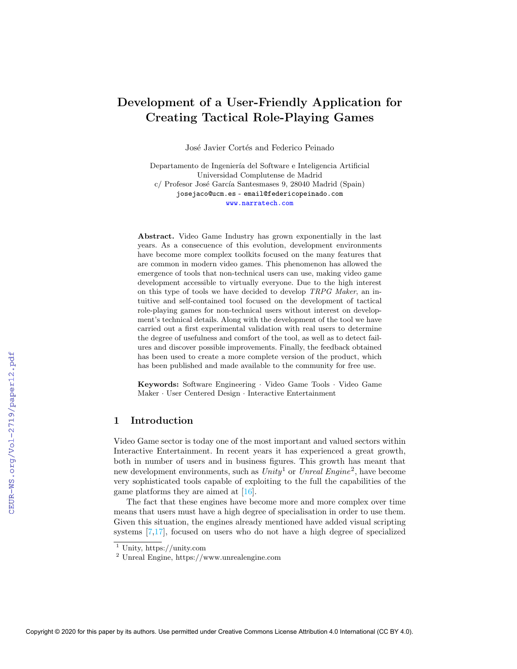# Development of a User-Friendly Application for Creating Tactical Role-Playing Games

José Javier Cortés and Federico Peinado

Departamento de Ingeniería del Software e Inteligencia Artificial Universidad Complutense de Madrid c/ Profesor José García Santesmases 9, 28040 Madrid (Spain) josejaco@ucm.es - email@federicopeinado.com <www.narratech.com>

Abstract. Video Game Industry has grown exponentially in the last years. As a consecuence of this evolution, development environments have become more complex toolkits focused on the many features that are common in modern video games. This phenomenon has allowed the emergence of tools that non-technical users can use, making video game development accessible to virtually everyone. Due to the high interest on this type of tools we have decided to develop TRPG Maker, an intuitive and self-contained tool focused on the development of tactical role-playing games for non-technical users without interest on development's technical details. Along with the development of the tool we have carried out a first experimental validation with real users to determine the degree of usefulness and comfort of the tool, as well as to detect failures and discover possible improvements. Finally, the feedback obtained has been used to create a more complete version of the product, which has been published and made available to the community for free use.

Keywords: Software Engineering · Video Game Tools · Video Game Maker · User Centered Design · Interactive Entertainment

# 1 Introduction

Video Game sector is today one of the most important and valued sectors within Interactive Entertainment. In recent years it has experienced a great growth, both in number of users and in business figures. This growth has meant that new development environments, such as  $Unity^1$  $Unity^1$  or  $Unreal$  Engine<sup>[2](#page-0-1)</sup>, have become very sophisticated tools capable of exploiting to the full the capabilities of the game platforms they are aimed at [\[16\]](#page--1-0).

The fact that these engines have become more and more complex over time means that users must have a high degree of specialisation in order to use them. Given this situation, the engines already mentioned have added visual scripting systems [\[7](#page--1-1)[,17\]](#page--1-2), focused on users who do not have a high degree of specialized

<span id="page-0-0"></span><sup>1</sup> Unity, https://unity.com

<span id="page-0-1"></span><sup>2</sup> Unreal Engine, https://www.unrealengine.com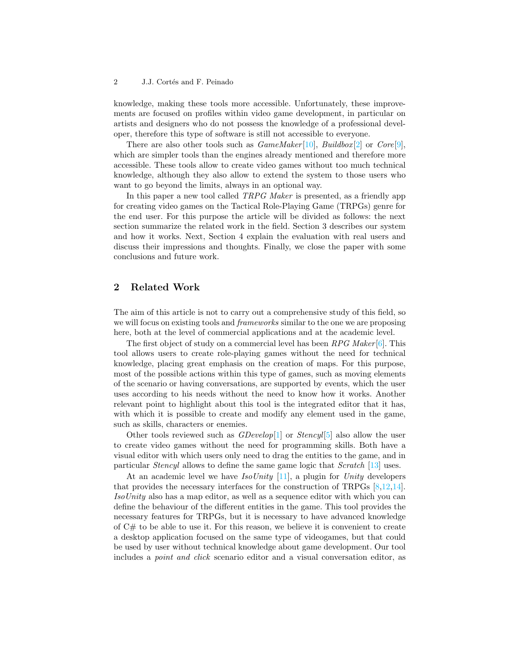#### 2 J.J. Cortés and F. Peinado

knowledge, making these tools more accessible. Unfortunately, these improvements are focused on profiles within video game development, in particular on artists and designers who do not possess the knowledge of a professional developer, therefore this type of software is still not accessible to everyone.

There are also other tools such as  $GameMake [10]$  $GameMake [10]$ ,  $Buildbox [2]$  $Buildbox [2]$  or  $Core[9]$  $Core[9]$ , which are simpler tools than the engines already mentioned and therefore more accessible. These tools allow to create video games without too much technical knowledge, although they also allow to extend the system to those users who want to go beyond the limits, always in an optional way.

In this paper a new tool called *TRPG Maker* is presented, as a friendly app for creating video games on the Tactical Role-Playing Game (TRPGs) genre for the end user. For this purpose the article will be divided as follows: the next section summarize the related work in the field. Section [3](#page-2-0) describes our system and how it works. Next, Section [4](#page-3-0) explain the evaluation with real users and discuss their impressions and thoughts. Finally, we close the paper with some conclusions and future work.

# 2 Related Work

The aim of this article is not to carry out a comprehensive study of this field, so we will focus on existing tools and *frameworks* similar to the one we are proposing here, both at the level of commercial applications and at the academic level.

The first object of study on a commercial level has been  $RPG$  Maker [\[6\]](#page-4-1). This tool allows users to create role-playing games without the need for technical knowledge, placing great emphasis on the creation of maps. For this purpose, most of the possible actions within this type of games, such as moving elements of the scenario or having conversations, are supported by events, which the user uses according to his needs without the need to know how it works. Another relevant point to highlight about this tool is the integrated editor that it has, with which it is possible to create and modify any element used in the game, such as skills, characters or enemies.

Other tools reviewed such as  $GDevelop[1]$  $GDevelop[1]$  or  $Stencyl[5]$  $Stencyl[5]$  also allow the user to create video games without the need for programming skills. Both have a visual editor with which users only need to drag the entities to the game, and in particular Stencyl allows to define the same game logic that Scratch [\[13\]](#page-5-2) uses.

At an academic level we have  $IsoUnity$  [\[11\]](#page-5-3), a plugin for Unity developers that provides the necessary interfaces for the construction of TRPGs [\[8,](#page-4-4)[12,](#page-5-4)[14\]](#page-5-5). IsoUnity also has a map editor, as well as a sequence editor with which you can define the behaviour of the different entities in the game. This tool provides the necessary features for TRPGs, but it is necessary to have advanced knowledge of C# to be able to use it. For this reason, we believe it is convenient to create a desktop application focused on the same type of videogames, but that could be used by user without technical knowledge about game development. Our tool includes a point and click scenario editor and a visual conversation editor, as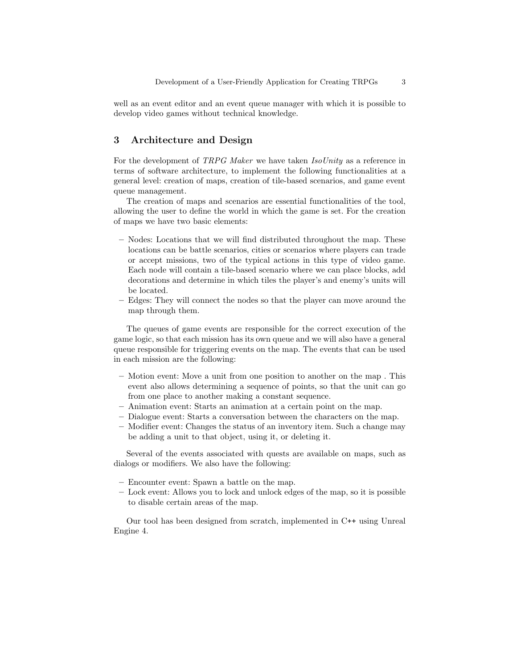well as an event editor and an event queue manager with which it is possible to develop video games without technical knowledge.

## <span id="page-2-0"></span>3 Architecture and Design

For the development of TRPG Maker we have taken IsoUnity as a reference in terms of software architecture, to implement the following functionalities at a general level: creation of maps, creation of tile-based scenarios, and game event queue management.

The creation of maps and scenarios are essential functionalities of the tool, allowing the user to define the world in which the game is set. For the creation of maps we have two basic elements:

- Nodes: Locations that we will find distributed throughout the map. These locations can be battle scenarios, cities or scenarios where players can trade or accept missions, two of the typical actions in this type of video game. Each node will contain a tile-based scenario where we can place blocks, add decorations and determine in which tiles the player's and enemy's units will be located.
- Edges: They will connect the nodes so that the player can move around the map through them.

The queues of game events are responsible for the correct execution of the game logic, so that each mission has its own queue and we will also have a general queue responsible for triggering events on the map. The events that can be used in each mission are the following:

- Motion event: Move a unit from one position to another on the map . This event also allows determining a sequence of points, so that the unit can go from one place to another making a constant sequence.
- Animation event: Starts an animation at a certain point on the map.
- Dialogue event: Starts a conversation between the characters on the map.
- Modifier event: Changes the status of an inventory item. Such a change may be adding a unit to that object, using it, or deleting it.

Several of the events associated with quests are available on maps, such as dialogs or modifiers. We also have the following:

- Encounter event: Spawn a battle on the map.
- Lock event: Allows you to lock and unlock edges of the map, so it is possible to disable certain areas of the map.

Our tool has been designed from scratch, implemented in C++ using Unreal Engine 4.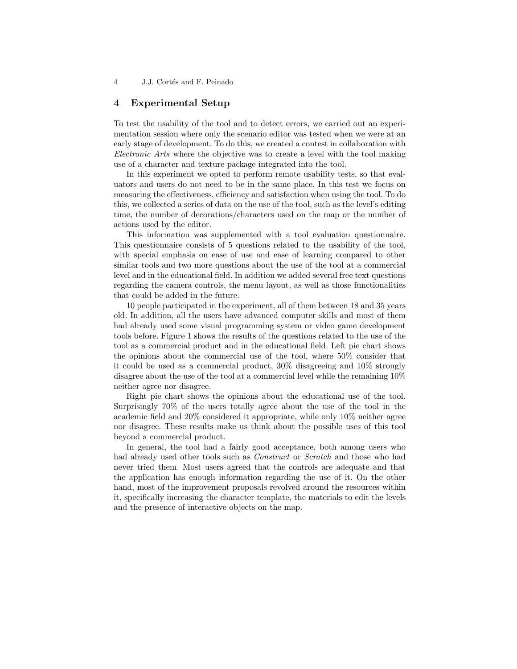## <span id="page-3-0"></span>4 Experimental Setup

To test the usability of the tool and to detect errors, we carried out an experimentation session where only the scenario editor was tested when we were at an early stage of development. To do this, we created a contest in collaboration with Electronic Arts where the objective was to create a level with the tool making use of a character and texture package integrated into the tool.

In this experiment we opted to perform remote usability tests, so that evaluators and users do not need to be in the same place. In this test we focus on measuring the effectiveness, efficiency and satisfaction when using the tool. To do this, we collected a series of data on the use of the tool, such as the level's editing time, the number of decorations/characters used on the map or the number of actions used by the editor.

This information was supplemented with a tool evaluation questionnaire. This questionnaire consists of 5 questions related to the usability of the tool, with special emphasis on ease of use and ease of learning compared to other similar tools and two more questions about the use of the tool at a commercial level and in the educational field. In addition we added several free text questions regarding the camera controls, the menu layout, as well as those functionalities that could be added in the future.

10 people participated in the experiment, all of them between 18 and 35 years old. In addition, all the users have advanced computer skills and most of them had already used some visual programming system or video game development tools before. Figure [1](#page-4-5) shows the results of the questions related to the use of the tool as a commercial product and in the educational field. Left pie chart shows the opinions about the commercial use of the tool, where 50% consider that it could be used as a commercial product, 30% disagreeing and 10% strongly disagree about the use of the tool at a commercial level while the remaining 10% neither agree nor disagree.

Right pie chart shows the opinions about the educational use of the tool. Surprisingly 70% of the users totally agree about the use of the tool in the academic field and 20% considered it appropriate, while only 10% neither agree nor disagree. These results make us think about the possible uses of this tool beyond a commercial product.

In general, the tool had a fairly good acceptance, both among users who had already used other tools such as *Construct* or *Scratch* and those who had never tried them. Most users agreed that the controls are adequate and that the application has enough information regarding the use of it. On the other hand, most of the improvement proposals revolved around the resources within it, specifically increasing the character template, the materials to edit the levels and the presence of interactive objects on the map.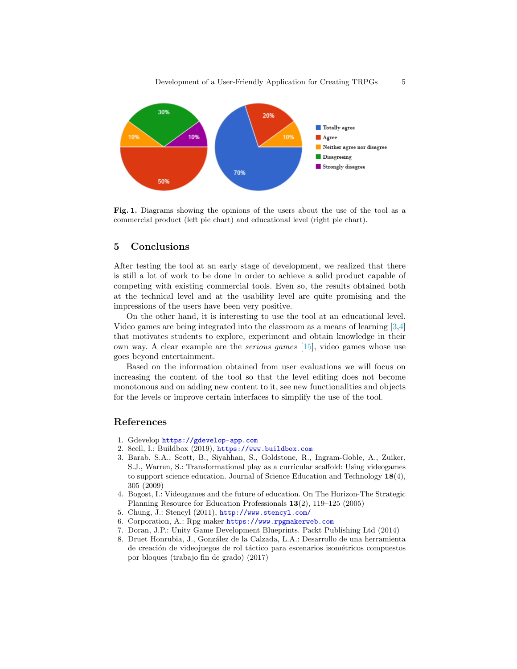

<span id="page-4-5"></span>Fig. 1. Diagrams showing the opinions of the users about the use of the tool as a commercial product (left pie chart) and educational level (right pie chart).

### 5 Conclusions

After testing the tool at an early stage of development, we realized that there is still a lot of work to be done in order to achieve a solid product capable of competing with existing commercial tools. Even so, the results obtained both at the technical level and at the usability level are quite promising and the impressions of the users have been very positive.

On the other hand, it is interesting to use the tool at an educational level. Video games are being integrated into the classroom as a means of learning [\[3,](#page-4-6)[4\]](#page-4-7) that motivates students to explore, experiment and obtain knowledge in their own way. A clear example are the *serious games*  $[15]$ , video games whose use goes beyond entertainment.

Based on the information obtained from user evaluations we will focus on increasing the content of the tool so that the level editing does not become monotonous and on adding new content to it, see new functionalities and objects for the levels or improve certain interfaces to simplify the use of the tool.

### References

- <span id="page-4-2"></span>1. Gdevelop <https://gdevelop-app.com>
- <span id="page-4-0"></span>2. 8cell, I.: Buildbox (2019), <https://www.buildbox.com>
- <span id="page-4-6"></span>3. Barab, S.A., Scott, B., Siyahhan, S., Goldstone, R., Ingram-Goble, A., Zuiker, S.J., Warren, S.: Transformational play as a curricular scaffold: Using videogames to support science education. Journal of Science Education and Technology 18(4), 305 (2009)
- <span id="page-4-7"></span>4. Bogost, I.: Videogames and the future of education. On The Horizon-The Strategic Planning Resource for Education Professionals 13(2), 119–125 (2005)
- <span id="page-4-3"></span>5. Chung, J.: Stencyl (2011), <http://www.stencyl.com/>
- <span id="page-4-1"></span>6. Corporation, A.: Rpg maker <https://www.rpgmakerweb.com>
- 7. Doran, J.P.: Unity Game Development Blueprints. Packt Publishing Ltd (2014)
- <span id="page-4-4"></span>8. Druet Honrubia, J., Gonz´alez de la Calzada, L.A.: Desarrollo de una herramienta de creación de videojuegos de rol táctico para escenarios isométricos compuestos por bloques (trabajo fin de grado) (2017)